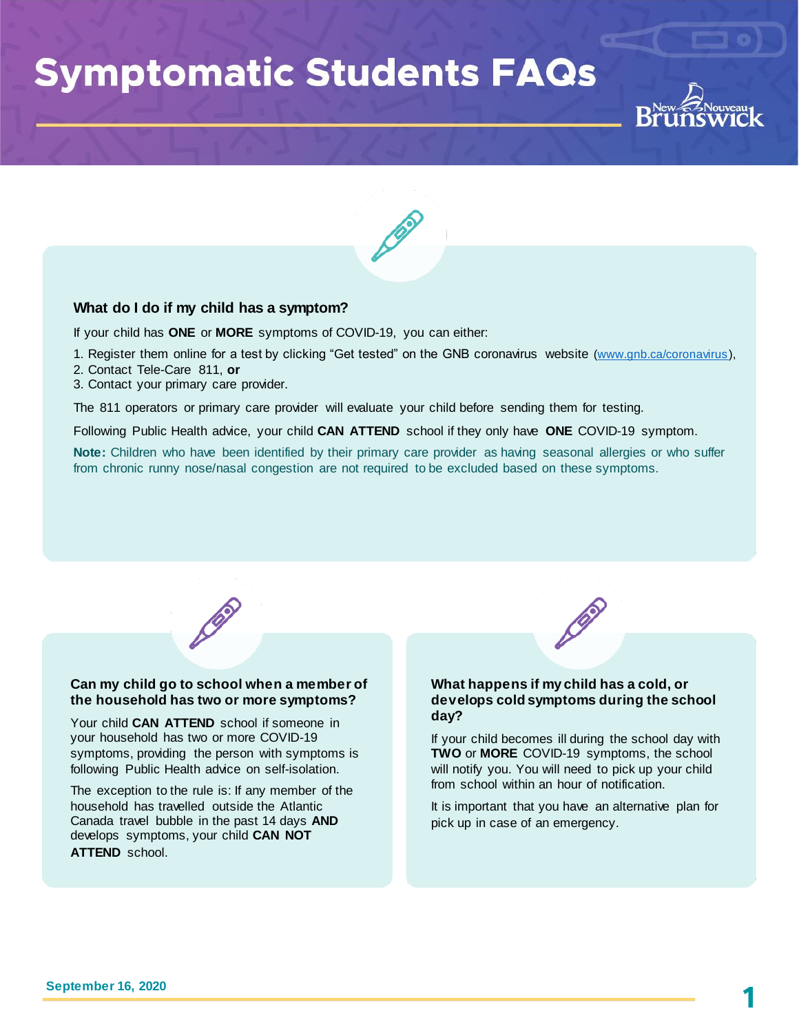# **Symptomatic Students FAQs**



# **What do I do if my child has a symptom?**

If your child has **ONE** or **MORE** symptoms of COVID-19, you can either:

- 1. Register them online for a test by clicking "Get tested" on the GNB coronavirus website [\(www.gnb.ca/coronavirus](http://www.gnb.ca/coronavirus)),
- 2. Contact Tele-Care 811, **or**
- 3. Contact your primary care provider.

The 811 operators or primary care provider will evaluate your child before sending them for testing.

Following Public Health advice, your child **CAN ATTEND** school if they only have **ONE** COVID-19 symptom.

**Note:** Children who have been identified by their primary care provider as having seasonal allergies or who suffer from chronic runny nose/nasal congestion are not required to be excluded based on these symptoms.



#### **Can my child go to school when a member of the household has two or more symptoms?**

Your child **CAN ATTEND** school if someone in your household has two or more COVID-19 symptoms, providing the person with symptoms is following Public Health advice on self-isolation.

The exception to the rule is: If any member of the household has travelled outside the Atlantic Canada travel bubble in the past 14 days **AND** develops symptoms, your child **CAN NOT ATTEND** school.



## **What happens if my child has a cold, or develops cold symptoms during the school day?**

If your child becomes ill during the school day with **TWO** or **MORE** COVID-19 symptoms, the school will notify you. You will need to pick up your child from school within an hour of notification.

It is important that you have an alternative plan for pick up in case of an emergency.